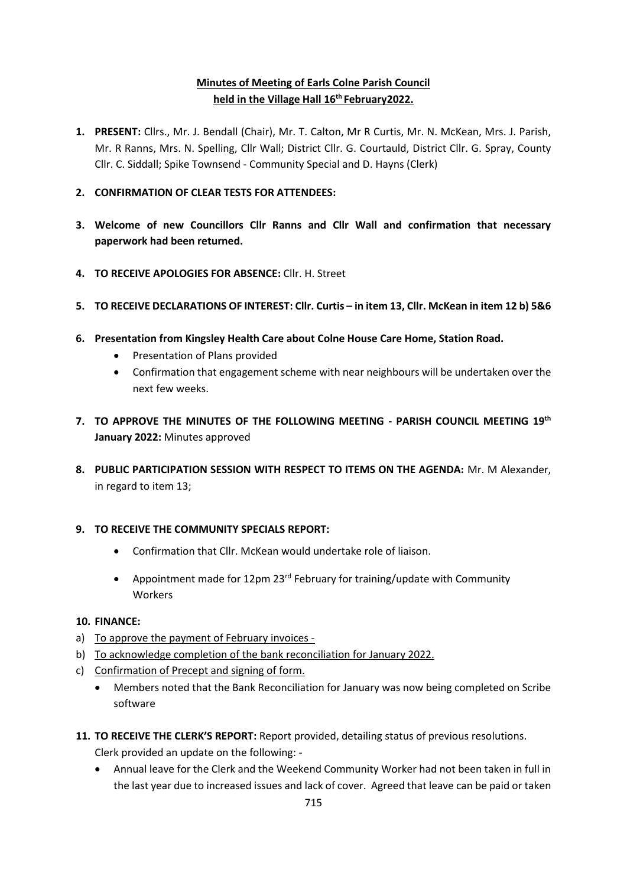# **Minutes of Meeting of Earls Colne Parish Council held in the Village Hall 16 th February2022.**

- **1. PRESENT:** Cllrs., Mr. J. Bendall (Chair), Mr. T. Calton, Mr R Curtis, Mr. N. McKean, Mrs. J. Parish, Mr. R Ranns, Mrs. N. Spelling, Cllr Wall; District Cllr. G. Courtauld, District Cllr. G. Spray, County Cllr. C. Siddall; Spike Townsend - Community Special and D. Hayns (Clerk)
- **2. CONFIRMATION OF CLEAR TESTS FOR ATTENDEES:**
- **3. Welcome of new Councillors Cllr Ranns and Cllr Wall and confirmation that necessary paperwork had been returned.**
- **4. TO RECEIVE APOLOGIES FOR ABSENCE:** Cllr. H. Street
- **5. TO RECEIVE DECLARATIONS OF INTEREST: Cllr. Curtis – in item 13, Cllr. McKean in item 12 b) 5&6**
- **6. Presentation from Kingsley Health Care about Colne House Care Home, Station Road.**
	- Presentation of Plans provided
	- Confirmation that engagement scheme with near neighbours will be undertaken over the next few weeks.
- **7. TO APPROVE THE MINUTES OF THE FOLLOWING MEETING - PARISH COUNCIL MEETING 19th January 2022:** Minutes approved
- **8. PUBLIC PARTICIPATION SESSION WITH RESPECT TO ITEMS ON THE AGENDA:** Mr. M Alexander, in regard to item 13;

#### **9. TO RECEIVE THE COMMUNITY SPECIALS REPORT:**

- Confirmation that Cllr. McKean would undertake role of liaison.
- Appointment made for 12pm 23<sup>rd</sup> February for training/update with Community Workers

#### **10. FINANCE:**

- a) To approve the payment of February invoices -
- b) To acknowledge completion of the bank reconciliation for January 2022.
- c) Confirmation of Precept and signing of form.
	- Members noted that the Bank Reconciliation for January was now being completed on Scribe software
- **11. TO RECEIVE THE CLERK'S REPORT:** Report provided, detailing status of previous resolutions. Clerk provided an update on the following: -
	- Annual leave for the Clerk and the Weekend Community Worker had not been taken in full in the last year due to increased issues and lack of cover. Agreed that leave can be paid or taken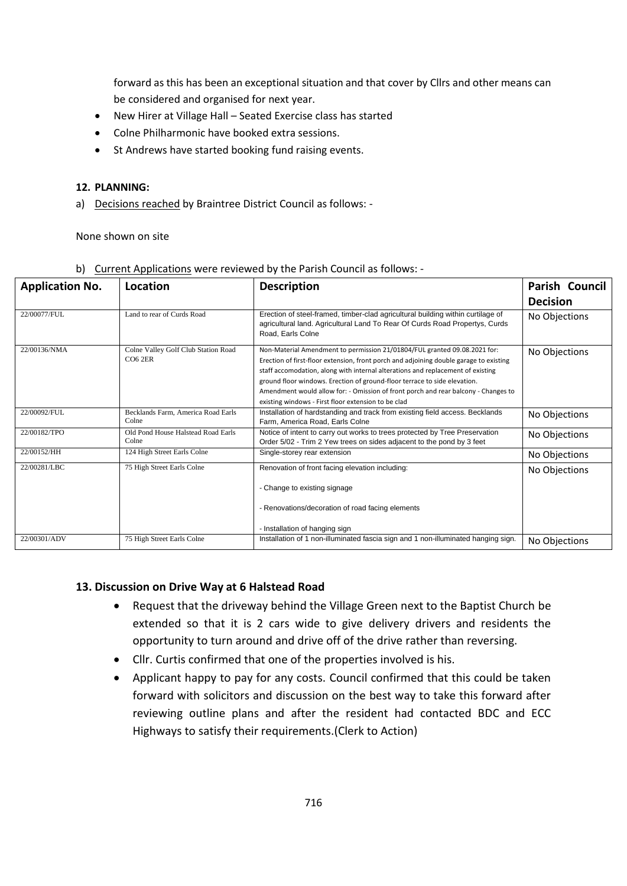forward as this has been an exceptional situation and that cover by Cllrs and other means can be considered and organised for next year.

- New Hirer at Village Hall Seated Exercise class has started
- Colne Philharmonic have booked extra sessions.
- St Andrews have started booking fund raising events.

#### **12. PLANNING:**

a) Decisions reached by Braintree District Council as follows: -

None shown on site

| <b>Application No.</b> | Location                                       | <b>Description</b>                                                                                                                                                                                                                                                                                                                                                                                                                                                               | Parish Council  |
|------------------------|------------------------------------------------|----------------------------------------------------------------------------------------------------------------------------------------------------------------------------------------------------------------------------------------------------------------------------------------------------------------------------------------------------------------------------------------------------------------------------------------------------------------------------------|-----------------|
|                        |                                                |                                                                                                                                                                                                                                                                                                                                                                                                                                                                                  | <b>Decision</b> |
| 22/00077/FUL           | Land to rear of Curds Road                     | Erection of steel-framed, timber-clad agricultural building within curtilage of<br>agricultural land. Agricultural Land To Rear Of Curds Road Propertys, Curds<br>Road, Earls Colne                                                                                                                                                                                                                                                                                              | No Objections   |
| 22/00136/NMA           | Colne Valley Golf Club Station Road<br>CO6 2ER | Non-Material Amendment to permission 21/01804/FUL granted 09.08.2021 for:<br>Erection of first-floor extension, front porch and adjoining double garage to existing<br>staff accomodation, along with internal alterations and replacement of existing<br>ground floor windows. Erection of ground-floor terrace to side elevation.<br>Amendment would allow for: - Omission of front porch and rear balcony - Changes to<br>existing windows - First floor extension to be clad | No Objections   |
| 22/00092/FUL           | Becklands Farm, America Road Earls<br>Colne    | Installation of hardstanding and track from existing field access. Becklands<br>Farm, America Road, Earls Colne                                                                                                                                                                                                                                                                                                                                                                  | No Objections   |
| 22/00182/TPO           | Old Pond House Halstead Road Earls<br>Colne    | Notice of intent to carry out works to trees protected by Tree Preservation<br>Order 5/02 - Trim 2 Yew trees on sides adjacent to the pond by 3 feet                                                                                                                                                                                                                                                                                                                             | No Objections   |
| 22/00152/HH            | 124 High Street Earls Colne                    | Single-storey rear extension                                                                                                                                                                                                                                                                                                                                                                                                                                                     | No Objections   |
| 22/00281/LBC           | 75 High Street Earls Colne                     | Renovation of front facing elevation including:<br>- Change to existing signage<br>- Renovations/decoration of road facing elements                                                                                                                                                                                                                                                                                                                                              | No Objections   |
|                        |                                                | - Installation of hanging sign                                                                                                                                                                                                                                                                                                                                                                                                                                                   |                 |
| 22/00301/ADV           | 75 High Street Earls Colne                     | Installation of 1 non-illuminated fascia sign and 1 non-illuminated hanging sign.                                                                                                                                                                                                                                                                                                                                                                                                | No Objections   |

b) Current Applications were reviewed by the Parish Council as follows: -

#### **13. Discussion on Drive Way at 6 Halstead Road**

- Request that the driveway behind the Village Green next to the Baptist Church be extended so that it is 2 cars wide to give delivery drivers and residents the opportunity to turn around and drive off of the drive rather than reversing.
- Cllr. Curtis confirmed that one of the properties involved is his.
- Applicant happy to pay for any costs. Council confirmed that this could be taken forward with solicitors and discussion on the best way to take this forward after reviewing outline plans and after the resident had contacted BDC and ECC Highways to satisfy their requirements.(Clerk to Action)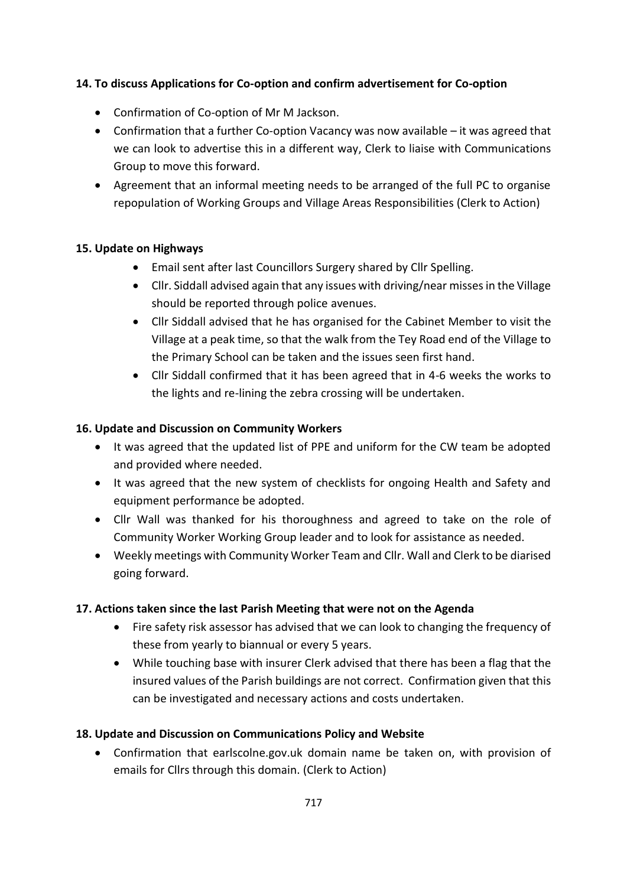## **14. To discuss Applications for Co-option and confirm advertisement for Co-option**

- Confirmation of Co-option of Mr M Jackson.
- Confirmation that a further Co-option Vacancy was now available it was agreed that we can look to advertise this in a different way, Clerk to liaise with Communications Group to move this forward.
- Agreement that an informal meeting needs to be arranged of the full PC to organise repopulation of Working Groups and Village Areas Responsibilities (Clerk to Action)

### **15. Update on Highways**

- Email sent after last Councillors Surgery shared by Cllr Spelling.
- Cllr. Siddall advised again that any issues with driving/near missesin the Village should be reported through police avenues.
- Cllr Siddall advised that he has organised for the Cabinet Member to visit the Village at a peak time, so that the walk from the Tey Road end of the Village to the Primary School can be taken and the issues seen first hand.
- Cllr Siddall confirmed that it has been agreed that in 4-6 weeks the works to the lights and re-lining the zebra crossing will be undertaken.

### **16. Update and Discussion on Community Workers**

- It was agreed that the updated list of PPE and uniform for the CW team be adopted and provided where needed.
- It was agreed that the new system of checklists for ongoing Health and Safety and equipment performance be adopted.
- Cllr Wall was thanked for his thoroughness and agreed to take on the role of Community Worker Working Group leader and to look for assistance as needed.
- Weekly meetings with Community Worker Team and Cllr. Wall and Clerk to be diarised going forward.

## **17. Actions taken since the last Parish Meeting that were not on the Agenda**

- Fire safety risk assessor has advised that we can look to changing the frequency of these from yearly to biannual or every 5 years.
- While touching base with insurer Clerk advised that there has been a flag that the insured values of the Parish buildings are not correct. Confirmation given that this can be investigated and necessary actions and costs undertaken.

## **18. Update and Discussion on Communications Policy and Website**

• Confirmation that earlscolne.gov.uk domain name be taken on, with provision of emails for Cllrs through this domain. (Clerk to Action)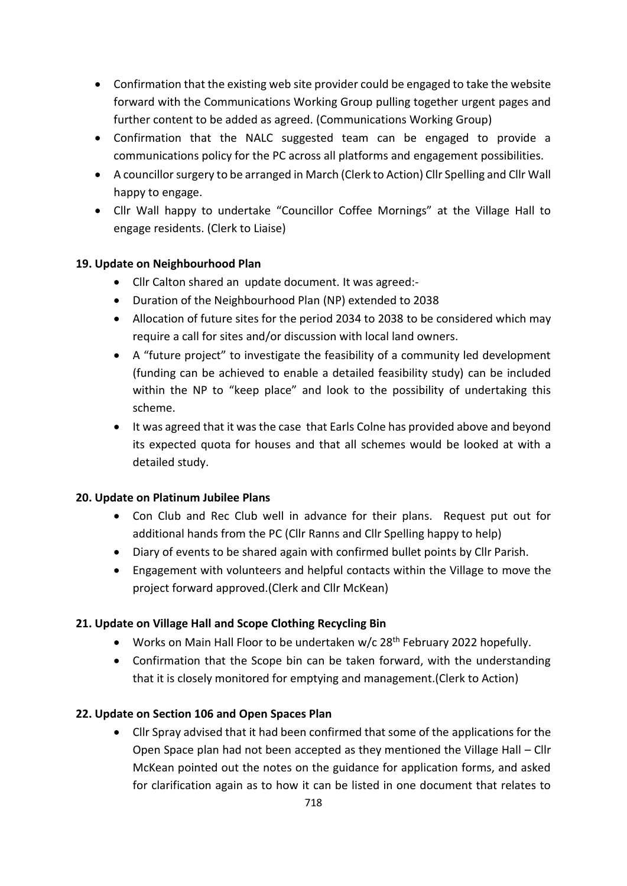- Confirmation that the existing web site provider could be engaged to take the website forward with the Communications Working Group pulling together urgent pages and further content to be added as agreed. (Communications Working Group)
- Confirmation that the NALC suggested team can be engaged to provide a communications policy for the PC across all platforms and engagement possibilities.
- A councillor surgery to be arranged in March (Clerk to Action) Cllr Spelling and Cllr Wall happy to engage.
- Cllr Wall happy to undertake "Councillor Coffee Mornings" at the Village Hall to engage residents. (Clerk to Liaise)

# **19. Update on Neighbourhood Plan**

- Cllr Calton shared an update document. It was agreed:-
- Duration of the Neighbourhood Plan (NP) extended to 2038
- Allocation of future sites for the period 2034 to 2038 to be considered which may require a call for sites and/or discussion with local land owners.
- A "future project" to investigate the feasibility of a community led development (funding can be achieved to enable a detailed feasibility study) can be included within the NP to "keep place" and look to the possibility of undertaking this scheme.
- It was agreed that it was the case that Earls Colne has provided above and beyond its expected quota for houses and that all schemes would be looked at with a detailed study.

## **20. Update on Platinum Jubilee Plans**

- Con Club and Rec Club well in advance for their plans. Request put out for additional hands from the PC (Cllr Ranns and Cllr Spelling happy to help)
- Diary of events to be shared again with confirmed bullet points by Cllr Parish.
- Engagement with volunteers and helpful contacts within the Village to move the project forward approved.(Clerk and Cllr McKean)

## **21. Update on Village Hall and Scope Clothing Recycling Bin**

- Works on Main Hall Floor to be undertaken w/c 28<sup>th</sup> February 2022 hopefully.
- Confirmation that the Scope bin can be taken forward, with the understanding that it is closely monitored for emptying and management.(Clerk to Action)

## **22. Update on Section 106 and Open Spaces Plan**

• Cllr Spray advised that it had been confirmed that some of the applications for the Open Space plan had not been accepted as they mentioned the Village Hall – Cllr McKean pointed out the notes on the guidance for application forms, and asked for clarification again as to how it can be listed in one document that relates to